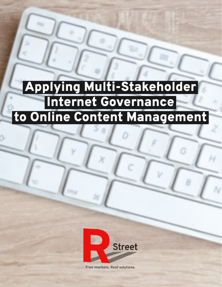# Applying Multi-Stakeholder Internet Governance to Online Content Management



Free markets. Real solutions.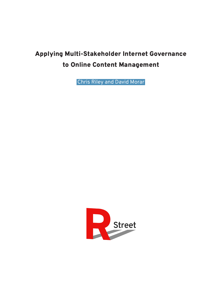## Applying Multi-Stakeholder Internet Governance to Online Content Management

Chris Riley and David Morar

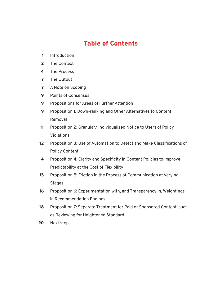## Table of Contents

- Introduction  $1<sup>1</sup>$
- The Context 2
- The Process 4
- The Output 7
- A Note on Scoping 7
- Points of Consensus 9
- Propositions for Areas of Further Attention 9
- Proposition 1: Down-ranking and Other Alternatives to Content Removal 9
- Proposition 2: Granular/ Individualized Notice to Users of Policy Violations 11
- Proposition 3: Use of Automation to Detect and Make Classifications of Policy Content 12
- Proposition 4: Clarity and Specificity in Content Policies to Improve Predictability at the Cost of Flexibility 14
- Proposition 5: Friction in the Process of Communication at Varying **Stages** 15
- Proposition 6: Experimentation with, and Transparency in, Weightings in Recommendation Engines 16
- Proposition 7: Separate Treatment for Paid or Sponsored Content, such as Reviewing for Heightened Standard 18
- Next steps 20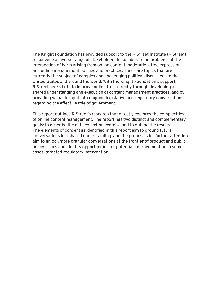The Knight Foundation has provided support to the R Street Institute (R Street) to convene a diverse range of stakeholders to collaborate on problems at the intersection of harm arising from online content moderation, free expression, and online management policies and practices. These are topics that are currently the subject of complex and challenging political discussions in the United States and around the world. With the Knight Foundation's support, R Street seeks both to improve online trust directly through developing a shared understanding and execution of content management practices, and by providing valuable input into ongoing legislative and regulatory conversations regarding the effective role of government.

This report outlines R Street's research that directly explores the complexities of online content management. The report has two distinct and complementary goals: to describe the data collection exercise and to outline the results. The elements of consensus identified in this report aim to ground future conversations in a shared understanding, and the proposals for further attention aim to unlock more granular conversations at the frontier of product and public policy issues and identify opportunities for potential improvement or, in some cases, targeted regulatory intervention.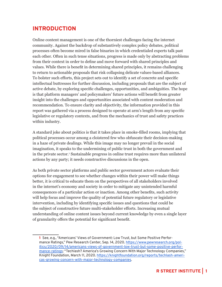## INTRODUCTION

Online content management is one of the thorniest challenges facing the internet community. Against the backdrop of substantively complex policy debates, political processes often become mired in false binaries in which credentialed experts talk past each other. Often in such tense situations, progress is made only by abstracting problems from their context in order to define and move forward with shared principles and values. While there is benefit in determining shared principles, it remains challenging to return to actionable proposals that risk collapsing delicate values-based alliances. To bolster such efforts, this project sets out to identify a set of concrete and specific intellectual buttresses for further discussion, including proposals that are the subject of active debate, by exploring specific challenges, opportunities, and ambiguities. The hope is that platform managers' and policymakers' future actions will benefit from greater insight into the challenges and opportunities associated with content moderation and recommendation. To ensure clarity and objectivity, the information provided in this report was gathered via a process designed to operate at arm's length from any specific legislative or regulatory contexts, and from the mechanics of trust and safety practices within industry.

A standard joke about politics is that it takes place in smoke-filled rooms, implying that political processes occur among a cloistered few who obfuscate their decision-making in a haze of private dealings. While this image may no longer prevail in the social imagination, it speaks to the undermining of public trust in both the government and in the private sector.<sup>1</sup> Sustainable progress in online trust requires more than unilateral actions by any party; it needs constructive discussions in the open.

As both private sector platforms and public sector government actors evaluate their options for engagement to see whether changes within their power will make things better, it is critical to educate them on the perspectives of all stakeholders involved in the internet's economy and society in order to mitigate any unintended harmful consequences of a particular action or inaction. Among other benefits, such activity will help focus and improve the quality of potential future regulatory or legislative intervention, including by identifying specific issues and questions that could be the subject of constructive future multi-stakeholder efforts. Increasing mutual understanding of online content issues beyond current knowledge by even a single layer of granularity offers the potential for significant benefit.

<sup>1</sup> See, e.g., "Americans' Views of Government: Low Trust, but Some Positive Performance Ratings," Pew Research Center, Sep. 14, 2020. [https://www.pewresearch.org/pol](https://www.pewresearch.org/politics/2020/09/14/americans-views-of-government-low-trust-but-some-positive-performance-ratings)[itics/2020/09/14/americans-views-of-government-low-trust-but-some-positive-perfor](https://www.pewresearch.org/politics/2020/09/14/americans-views-of-government-low-trust-but-some-positive-performance-ratings)[mance-ratings;](https://www.pewresearch.org/politics/2020/09/14/americans-views-of-government-low-trust-but-some-positive-performance-ratings) "Techlash? America's Growing Concern With Major Technology Companies," Knight Foundation, March 11, 2020. [https://knightfoundation.org/reports/techlash-ameri](https://knightfoundation.org/reports/techlash-americas-growing-concern-with-major-technology-companies)[cas-growing-concern-with-major-technology-companies.](https://knightfoundation.org/reports/techlash-americas-growing-concern-with-major-technology-companies)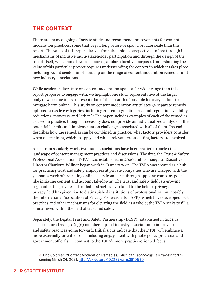## THE CONTEXT

There are many ongoing efforts to study and recommend improvements for content moderation practices, some that began long before or span a broader scale than this report. The value of this report derives from the unique perspective it offers through its mechanisms of inclusive multi-stakeholder participation and through the design of the report itself, which aims toward a more granular educative purpose. Understanding the value of this particular project requires understanding the context in which it takes place, including recent academic scholarship on the range of content moderation remedies and new industry associations.

While academic literature on content moderation spans a far wider range than this report proposes to engage with, we highlight one study representative of the larger body of work due to its representation of the breadth of possible industry actions to mitigate harm online. This study on content moderation articulates 36 separate remedy options across five categories, including content regulation, account regulation, visibility reductions, monetary and "other."<sup>2</sup> The paper includes examples of each of the remedies as used in practice, though of necessity does not provide an individualized analysis of the potential benefits and implementation challenges associated with all of them. Instead, it describes how the remedies can be combined in practice, what factors providers consider when determining which to apply and which relevant cross-cutting factors are involved.

Apart from scholarly work, two trade associations have been created to enrich the landscape of content management practices and discussions. The first, the Trust & Safety Professional Association (TSPA), was established in 2020 and its inaugural Executive Director Charlotte Willner began work in January 2021. The TSPA was created as a hub for practicing trust and safety employees at private companies who are charged with the yeoman's work of protecting online users from harm through applying company policies like initiating content and account takedowns. The trust and safety field is a growing segment of the private sector that is structurally related to the field of privacy. The privacy field has given rise to distinguished institutions of professionalization, notably the International Association of Privacy Professionals (IAPP), which have developed best practices and other mechanisms for elevating the field as a whole; the TSPA seeks to fill a similar need within the field of trust and safety.

Separately, the Digital Trust and Safety Partnership (DTSP), established in 2021, is also structured as a 501(c)(6) membership-led industry association to improve trust and safety practices going forward. Initial signs indicate that the DTSP will embrace a more externally-oriented role, including engagement with public policy processes and government officials, in contrast to the TSPA's more practice-oriented focus.

<sup>2</sup> Eric Goldman, "Content Moderation Remedies," *Michigan Technology Law Review*, forthcoming March 24, 2021. [http://dx.doi.org/10.2139/ssrn.3810580.](http://dx.doi.org/10.2139/ssrn.3810580)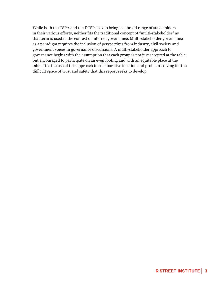While both the TSPA and the DTSP seek to bring in a broad range of stakeholders in their various efforts, neither fits the traditional concept of "multi-stakeholder" as that term is used in the context of internet governance. Multi-stakeholder governance as a paradigm requires the inclusion of perspectives from industry, civil society and government voices in governance discussions. A multi-stakeholder approach to governance begins with the assumption that each group is not just accepted at the table, but encouraged to participate on an even footing and with an equitable place at the table. It is the use of this approach to collaborative ideation and problem-solving for the difficult space of trust and safety that this report seeks to develop.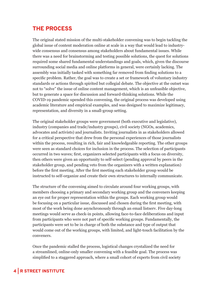## THE PROCESS

The original stated mission of the multi-stakeholder convening was to begin tackling the global issue of content moderation online at scale in a way that would lead to industrywide consensus and consensus among stakeholders about fundamental issues. While there was a need for brainstorming and testing possible solutions, the quest for solutions required some shared fundamental understandings and goals, which, given the discourse surrounding social media and online platforms in general, were certainly lacking. The assembly was initially tasked with something far removed from finding solutions to a specific problem. Rather, the goal was to create a set or framework of voluntary industry standards or actions through spirited but collegial debate. The objective at the outset was not to "solve" the issue of online content management, which is an unfeasible objective, but to generate a space for discussion and forward-thinking solutions. While the COVID-19 pandemic upended this convening, the original process was developed using academic literature and empirical examples, and was designed to maximize legitimacy, representation, and diversity in a small-group setting.

The original stakeholder groups were government (both executive and legislative), industry (companies and trade/industry groups), civil society (NGOs, academics, advocates and activists) and journalists. Inviting journalists in as stakeholders allowed for a critical perspective that drew from the personal experiences of those journalists within the process, resulting in rich, fair and knowledgeable reporting. The other groups were seen as standard choices for inclusion in the process. The selection of participants occurred in two waves; first, organizers selected participants with a focus on diversity, then others were given an opportunity to self-select (pending approval by peers in the stakeholder group, and pending veto from the organizers with a written explanation) before the first meeting. After the first meeting each stakeholder group would be instructed to self-organize and create their own structures to internally communicate.

The structure of the convening aimed to circulate around four working groups, with members choosing a primary and secondary working group and the conveners keeping an eye out for proper representation within the groups. Each working group would be focusing on a particular issue, discussed and chosen during the first meeting, with most of the work being done asynchronously through an email listserv. Five day-long meetings would serve as check-in points, allowing face-to-face deliberations and input from participants who were not part of specific working groups. Fundamentally, the participants were set to be in charge of both the substance and type of output that would come out of the working groups, with limited, and light-touch facilitation by the conveners.

Once the pandemic stalled the process, logistical changes crystalized the need for a streamlined, online-only smaller convening with a feasible goal. The process was simplified to a staggered approach, where a small cohort of experts from civil society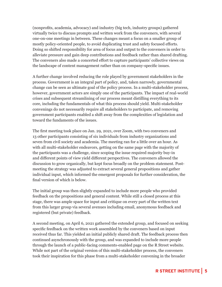(nonprofits, academia, advocacy) and industry (big tech, industry groups) gathered virtually twice to discuss prompts and written work from the conveners, with several one-on-one meetings in between. These changes meant a focus on a smaller group of mostly policy-oriented people, to avoid duplicating trust and safety focused efforts. Doing so shifted responsibility for area of focus and output to the conveners in order to alleviate pressure and gain deep contributions and feedback rather than shared drafting. The conveners also made a concerted effort to capture participants' collective views on the landscape of content management rather than on company-specific issues.

A further change involved reducing the role played by government stakeholders in the process. Government is an integral part of policy, and, taken narrowly, governmental change can be seen as ultimate goal of the policy process. In a multi-stakeholder process, however, government actors are simply one of the participants. The impact of real-world crises and subsequent streamlining of our process meant distilling everything to its core, including the fundamentals of what this process should yield. Multi-stakeholder convenings do not necessarily require all stakeholders to participate, and removing government participants enabled a shift away from the complexities of legislation and toward the fundaments of the issues.

The first meeting took place on Jan. 29, 2021, over Zoom, with two conveners and 13 other participants consisting of six individuals from industry organizations and seven from civil society and academia. The meeting ran for a little over an hour. As with all multi-stakeholder endeavors, getting on the same page with the majority of the participants was a challenge, since scoping the issue required majority buy-in and different points of view yield different perspectives. The conveners allowed the discussion to grow organically, but kept focus broadly on the problem statement. Postmeeting the strategy was adjusted to extract several general propositions and gather individual input, which informed the emergent proposals for further consideration, the final version of which is below.

The initial group was then slightly expanded to include more people who provided feedback on the propositions and general content. While still a closed process at this stage, there was ample space for input and critique on every part of the written text from this larger group via several avenues including email, anonymous feedback and registered (but private) feedback.

A second meeting, on April 6, 2021 gathered the extended group, and focused on seeking specific feedback on the written work assembled by the conveners based on input received thus far. This yielded an initial publicly shared draft. The feedback process then continued asynchronously with the group, and was expanded to include more people through the launch of a public-facing comments-enabled page on the R Street website. While not part of the original version of this multi-stakeholder process, the conveners took their inspiration for this phase from a multi-stakeholder convening in the broader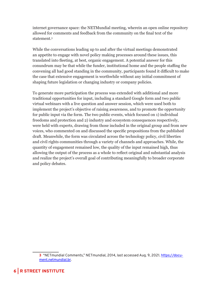internet governance space: the NETMundial meeting, wherein an open online repository allowed for comments and feedback from the community on the final text of the statement.3

While the conversations leading up to and after the virtual meetings demonstrated an appetite to engage with novel policy making processes around these issues, this translated into fleeting, at best, organic engagement. A potential answer for this conundrum may be that while the funder, institutional home and the people staffing the convening all had good standing in the community, participants found it difficult to make the case that extensive engagement is worthwhile without any initial commitment of shaping future legislation or changing industry or company policies.

To generate more participation the process was extended with additional and more traditional opportunities for input, including a standard Google form and two public virtual webinars with a live question and answer session, which were used both to implement the project's objective of raising awareness, and to promote the opportunity for public input via the form. The two public events, which focused on 1) individual freedoms and protection and 2) industry and ecosystem consequences respectively, were held with experts, drawing from those included in the original group and from new voices, who commented on and discussed the specific propositions from the published draft. Meanwhile, the form was circulated across the technology policy, civil liberties and civil rights communities through a variety of channels and approaches. While, the quantity of engagement remained low, the quality of the input remained high, thus allowing the output of the process as a whole to reflect original and substantial analysis and realize the project's overall goal of contributing meaningfully to broader corporate and policy debates.

<sup>3</sup> "NETmundial Comments," NETmundial, 2014, last accessed Aug. 9, 2021. [https://docu](https://document.netmundial.br/)[ment.netmundial.br](https://document.netmundial.br/).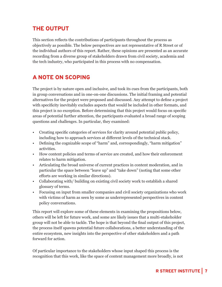## THE OUTPUT

This section reflects the contributions of participants throughout the process as objectively as possible. The below perspectives are not representative of R Street or of the individual authors of this report. Rather, these opinions are presented as an accurate recording from a diverse group of stakeholders drawn from civil society, academia and the tech industry, who participated in this process with no compensation.

## A NOTE ON SCOPING

The project is by nature open and inclusive, and took its cues from the participants, both in group conversations and in one-on-one discussions. The initial framing and potential alternatives for the project were proposed and discussed. Any attempt to define a project with specificity inevitably excludes aspects that would be included in other formats, and this project is no exception. Before determining that this project would focus on specific areas of potential further attention, the participants evaluated a broad range of scoping questions and challenges. In particular, they examined:

- Creating specific categories of services for clarity around potential public policy, including how to approach services at different levels of the technical stack.
- Defining the cognizable scope of "harm" and, correspondingly, "harm mitigation" activities.
- How content policies and terms of service are created, and how their enforcement relates to harm mitigation.
- Articulating the broad universe of current practices in content moderation, and in particular the space between "leave up" and "take down" (noting that some other efforts are working in similar directions).
- Collaborating with/ building on existing civil society work to establish a shared glossary of terms.
- Focusing on input from smaller companies and civil society organizations who work with victims of harm as seen by some as underrepresented perspectives in content policy conversations.

This report will explore some of these elements in examining the propositions below, others will be left for future work, and some are likely issues that a multi-stakeholder group will not be able to tackle. The hope is that beyond the final output of this project, the process itself spawns potential future collaborations, a better understanding of the entire ecosystem, new insights into the perspective of other stakeholders and a path forward for action.

Of particular importance to the stakeholders whose input shaped this process is the recognition that this work, like the space of content management more broadly, is not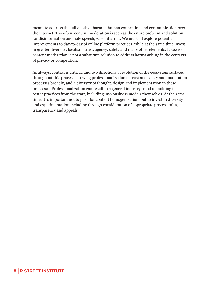meant to address the full depth of harm in human connection and communication over the internet. Too often, content moderation is seen as the entire problem and solution for disinformation and hate speech, when it is not. We must all explore potential improvements to day-to-day of online platform practices, while at the same time invest in greater diversity, localism, trust, agency, safety and many other elements. Likewise, content moderation is not a substitute solution to address harms arising in the contexts of privacy or competition.

As always, context is critical, and two directions of evolution of the ecosystem surfaced throughout this process: growing professionalization of trust and safety and moderation processes broadly, and a diversity of thought, design and implementation in these processes. Professionalization can result in a general industry trend of building in better practices from the start, including into business models themselves. At the same time, it is important not to push for content homogenization, but to invest in diversity and experimentation including through consideration of appropriate process rules, transparency and appeals.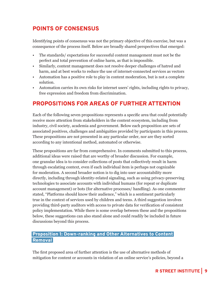## POINTS OF CONSENSUS

Identifying points of consensus was not the primary objective of this exercise, but was a consequence of the process itself. Below are broadly shared perspectives that emerged:

- The standards/ expectations for successful content management must not be the perfect and total prevention of online harm, as that is impossible.
- Similarly, content management does not resolve deeper challenges of hatred and harm, and at best works to reduce the use of internet-connected services as vectors
- Automation has a positive role to play in content moderation, but is not a complete solution.
- Automation carries its own risks for internet users' rights, including rights to privacy, free expression and freedom from discrimination.

## PROPOSITIONS FOR AREAS OF FURTHER ATTENTION

Each of the following seven propositions represents a specific area that could potentially receive more attention from stakeholders in the content ecosystem, including from industry, civil society, academia and government. Below each proposition are sets of associated positives, challenges and ambiguities provided by participants in this process. These propositions are not presented in any particular order, nor are they sorted according to any intentional method, automated or otherwise.

These propositions are far from comprehensive. In comments submitted to this process, additional ideas were raised that are worthy of broader discussion. For example, one granular idea is to consider collections of posts that collectively result in harm through escalating context, even if each individual item is perhaps not cognizable for moderation. A second broader notion is to dig into user accountability more directly, including through identity-related signaling, such as using privacy-preserving technologies to associate accounts with individual humans (for repeat or duplicate account management) or bots (for alternative processes/ handling). As one commenter stated, "Platforms should know their audience," which is a sentiment particularly true in the context of services used by children and teens. A third suggestion involves providing third-party auditors with access to private data for verification of consistent policy implementation. While there is some overlap between these and the propositions below, these suggestions can also stand alone and could readily be included in future discussions beyond this process.

#### Proposition 1: Down-ranking and Other Alternatives to Content Removal

The first proposed area of further attention is the use of alternative methods of mitigation for content or accounts in violation of an online service's policies, beyond a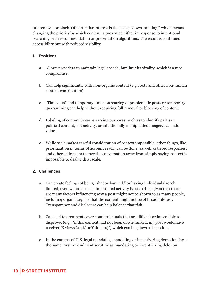full removal or block. Of particular interest is the use of "down-ranking," which means changing the priority by which content is presented either in response to intentional searching or in recommendation or presentation algorithms. The result is continued accessibility but with reduced visibility.

#### 1. Positives

- a. Allows providers to maintain legal speech, but limit its virality, which is a nice compromise.
- b. Can help significantly with non-organic content (e.g., bots and other non-human content contributors).
- c. "Time outs" and temporary limits on sharing of problematic posts or temporary quarantining can help without requiring full removal or blocking of content.
- d. Labeling of content to serve varying purposes, such as to identify partisan political content, bot activity, or intentionally manipulated imagery, can add value.
- e. While scale makes careful consideration of context impossible, other things, like prioritization in terms of account reach, can be done, as well as tiered responses, and other actions that move the conversation away from simply saying context is impossible to deal with at scale.

#### 2. Challenges

- a. Can create feelings of being "shadowbanned," or having individuals' reach limited, even where no such intentional activity is occurring, given that there are many factors influencing why a post might not be shown to as many people, including organic signals that the content might not be of broad interest. Transparency and disclosure can help balance that risk.
- b. Can lead to arguments over counterfactuals that are difficult or impossible to disprove, (e.g., "if this content had not been down-ranked, my post would have received X views (and/ or Y dollars)") which can bog down discussion.
- c. In the context of U.S. legal mandates, mandating or incentivizing demotion faces the same First Amendment scrutiny as mandating or incentivizing deletion

## 10 | R STREET INSTITUTE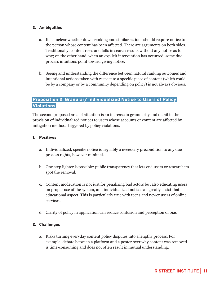#### 3. Ambiguities

- a. It is unclear whether down-ranking and similar actions should require notice to the person whose content has been affected. There are arguments on both sides. Traditionally, content rises and falls in search results without any notice as to why; on the other hand, when an explicit intervention has occurred, some due process intuitions point toward giving notice.
- b. Seeing and understanding the difference between natural ranking outcomes and intentional actions taken with respect to a specific piece of content (which could be by a company or by a community depending on policy) is not always obvious.

#### Proposition 2: Granular/ Individualized Notice to Users of Policy **Violations**

The second proposed area of attention is an increase in granularity and detail in the provision of individualized notices to users whose accounts or content are affected by mitigation methods triggered by policy violations.

#### 1. Positives

- a. Individualized, specific notice is arguably a necessary precondition to any due process rights, however minimal.
- b. One step lighter is possible: public transparency that lets end users or researchers spot the removal.
- c. Content moderation is not just for penalizing bad actors but also educating users on proper use of the system, and individualized notice can greatly assist that educational aspect. This is particularly true with teens and newer users of online services.
- d. Clarity of policy in application can reduce confusion and perception of bias

#### 2. Challenges

a. Risks turning everyday content policy disputes into a lengthy process. For example, debate between a platform and a poster over why content was removed is time-consuming and does not often result in mutual understanding.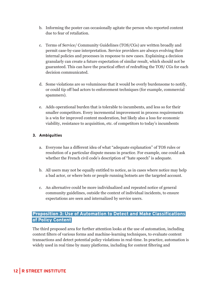- b. Informing the poster can occasionally agitate the person who reported content due to fear of retaliation.
- c. Terms of Service/ Community Guidelines (TOS/CGs) are written broadly and permit case-by-case interpretation. Service providers are always evolving their internal policies and processes in response to new cases. Explaining a decision granularly can create a future expectation of similar result, which should not be guaranteed. This can have the practical effect of redrafting the TOS/ CGs for each decision communicated.
- d. Some violations are so voluminous that it would be overly burdensome to notify, or could tip off bad actors to enforcement techniques (for example, commercial spammers).
- e. Adds operational burden that is tolerable to incumbents, and less so for their smaller competitors. Every incremental improvement in process requirements is a win for improved content moderation, but likely also a loss for economic viability, resistance to acquisition, etc. of competitors to today's incumbents

#### 3. Ambiguities

- a. Everyone has a different idea of what "adequate explanation" of TOS rules or resolution of a particular dispute means in practice. For example, one could ask whether the French civil code's description of "hate speech" is adequate.
- b. All users may not be equally entitled to notice, as in cases where notice may help a bad actor, or where bots or people running botnets are the targeted account.
- c. An alternative could be more individualized and repeated notice of general community guidelines, outside the context of individual incidents, to ensure expectations are seen and internalized by service users.

#### Proposition 3: Use of Automation to Detect and Make Classifications of Policy Content

The third proposed area for further attention looks at the use of automation, including context filters of various forms and machine-learning techniques, to evaluate content transactions and detect potential policy violations in real-time. In practice, automation is widely used in real time by many platforms, including for content filtering and

## 12 | R STREET INSTITUTE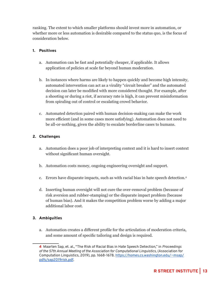ranking. The extent to which smaller platforms should invest more in automation, or whether more or less automation is desirable compared to the status quo, is the focus of consideration below.

#### 1. Positives

- a. Automation can be fast and potentially cheaper, if applicable. It allows application of policies at scale far beyond human moderation.
- b. In instances where harms are likely to happen quickly and become high intensity, automated intervention can act as a virality "circuit breaker" and the automated decision can later be modified with more considered thought. For example, after a shooting or during a riot, if accuracy rate is high, it can prevent misinformation from spiraling out of control or escalating crowd behavior.
- c. Automated detection paired with human decision-making can make the work more efficient (and in some cases more satisfying). Automation does not need to be all-or-nothing, given the ability to escalate borderline cases to humans.

#### 2. Challenges

- a. Automation does a poor job of interpreting context and it is hard to insert context without significant human oversight.
- b. Automation costs money, ongoing engineering oversight and support.
- c. Errors have disparate impacts, such as with racial bias in hate speech detection.4
- d. Inserting human oversight will not cure the over-removal problem (because of risk aversion and rubber-stamping) or the disparate impact problem (because of human bias). And it makes the competition problem worse by adding a major additional labor cost.

#### 3. Ambiguities

a. Automation creates a different profile for the articulation of moderation criteria, and some amount of specific tailoring and design is required.

<sup>4</sup> Maarten Sap, et. al., "The Risk of Racial Bias in Hate Speech Detection," in *Proceedings of the 57th Annual Meeting of the Association for Computational Linguistics*, (Association for Computation Linguistics, 2019), pp. 1668-1678. [https://homes.cs.washington.edu/~msap/](https://homes.cs.washington.edu/~msap/pdfs/sap2019risk.pdf) [pdfs/sap2019risk.pdf](https://homes.cs.washington.edu/~msap/pdfs/sap2019risk.pdf).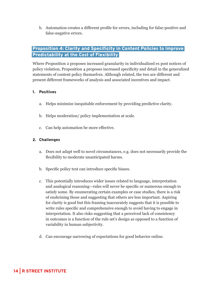b. Automation creates a different profile for errors, including for false-positive and false-negative errors.

#### Proposition 4: Clarity and Specificity in Content Policies to Improve Predictability at the Cost of Flexibility

Where Proposition 2 proposes increased granularity in individualized ex post notices of policy violation, Proposition 4 proposes increased specificity and detail in the generalized statements of content policy themselves. Although related, the two are different and present different frameworks of analysis and associated incentives and impact.

#### 1. Positives

- a. Helps minimize inequitable enforcement by providing predictive clarity.
- b. Helps moderation/ policy implementation at scale.
- c. Can help automation be more effective.

#### 2. Challenges

- a. Does not adapt well to novel circumstances, e.g. does not necessarily provide the flexibility to moderate unanticipated harms.
- b. Specific policy text can introduce specific biases.
- c. This potentially introduces wider issues related to language, interpretation and analogical reasoning—rules will never be specific or numerous enough to satisfy some. By enumerating certain examples or case studies, there is a risk of enshrining those and suggesting that others are less important. Aspiring for clarity is good but this framing inaccurately suggests that it is possible to write rules specific and comprehensive enough to avoid having to engage in interpretation. It also risks suggesting that a perceived lack of consistency in outcomes is a function of the rule set's design as opposed to a function of variability in human subjectivity.
- d. Can encourage narrowing of expectations for good behavior online.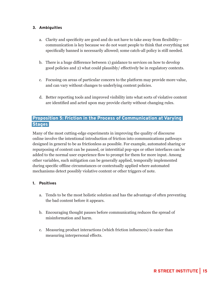#### 3. Ambiguities

- a. Clarity and specificity are good and do not have to take away from flexibility communication is key because we do not want people to think that everything not specifically banned is necessarily allowed; some catch-all policy is still needed.
- b. There is a huge difference between 1) guidance to services on how to develop good policies and 2) what could plausibly/ effectively be in regulatory contexts.
- c. Focusing on areas of particular concern to the platform may provide more value, and can vary without changes to underlying content policies.
- d. Better reporting tools and improved visibility into what sorts of violative content are identified and acted upon may provide clarity without changing rules.

#### Proposition 5: Friction in the Process of Communication at Varying **Stages**

Many of the most cutting-edge experiments in improving the quality of discourse online involve the intentional introduction of friction into communications pathways designed in general to be as frictionless as possible. For example, automated sharing or repurposing of content can be paused, or interstitial pop-ups or other interfaces can be added to the normal user experience flow to prompt for them for more input. Among other variables, such mitigation can be generally applied, temporally implemented during specific offline circumstances or contextually applied where automated mechanisms detect possibly violative content or other triggers of note.

#### 1. Positives

- a. Tends to be the most holistic solution and has the advantage of often preventing the bad content before it appears.
- b. Encouraging thought pauses before communicating reduces the spread of misinformation and harm.
- c. Measuring product interactions (which friction influences) is easier than measuring interpersonal effects.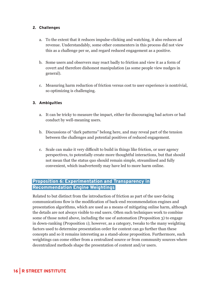#### 2. Challenges

- a. To the extent that it reduces impulse-clicking and watching, it also reduces ad revenue. Understandably, some other commenters in this process did not view this as a challenge per se, and regard reduced engagement as a positive.
- b. Some users and observers may react badly to friction and view it as a form of covert and therefore dishonest manipulation (as some people view nudges in general).
- c. Measuring harm reduction of friction versus cost to user experience is nontrivial, so optimizing is challenging.

#### 3. Ambiguities

- a. It can be tricky to measure the impact, either for discouraging bad actors or bad conduct by well-meaning users.
- b. Discussions of "dark patterns" belong here, and may reveal part of the tension between the challenges and potential positives of reduced engagement.
- c. Scale can make it very difficult to build in things like friction, or user agency perspectives, to potentially create more thoughtful interactions, but that should not mean that the status quo should remain simple, streamlined and fully convenient, which inadvertently may have led to more harm online.

#### Proposition 6: Experimentation and Transparency in Recommendation Engine Weightings

Related to but distinct from the introduction of friction as part of the user-facing communications flow is the modification of back-end recommendation engines and presentation algorithms, which are used as a means of mitigating online harm, although the details are not always visible to end users. Often such techniques work to combine some of those noted above, including the use of automation (Proposition 3) to engage in down-ranking (Proposition 1); however, as a category, tweaks to the many weighting factors used to determine presentation order for content can go further than these concepts and so it remains interesting as a stand-alone proposition. Furthermore, such weightings can come either from a centralized source or from community sources where decentralized methods shape the presentation of content and/or users.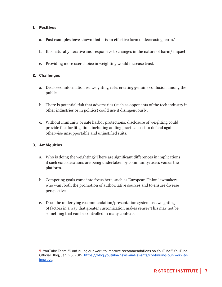#### 1. Positives

- a. Past examples have shown that it is an effective form of decreasing harm.<sup>5</sup>
- b. It is naturally iterative and responsive to changes in the nature of harm/ impact
- c. Providing more user choice in weighting would increase trust.

#### 2. Challenges

- a. Disclosed information re: weighting risks creating genuine confusion among the public.
- b. There is potential risk that adversaries (such as opponents of the tech industry in other industries or in politics) could use it disingenuously.
- c. Without immunity or safe harbor protections, disclosure of weighting could provide fuel for litigation, including adding practical cost to defend against otherwise unsupportable and unjustified suits.

#### 3. Ambiguities

- a. Who is doing the weighting? There are significant differences in implications if such considerations are being undertaken by community/users versus the platform.
- b. Competing goals come into focus here, such as European Union lawmakers who want both the promotion of authoritative sources and to ensure diverse perspectives.
- c. Does the underlying recommendation/presentation system use weighting of factors in a way that greater customization makes sense? This may not be something that can be controlled in many contexts.

<sup>5</sup> YouTube Team, "Continuing our work to improve recommendations on YouTube," YouTube Official Blog, Jan. 25, 2019. [https://blog.youtube/news-and-events/continuing-our-work-to](https://blog.youtube/news-and-events/continuing-our-work-to-improve)[improve.](https://blog.youtube/news-and-events/continuing-our-work-to-improve)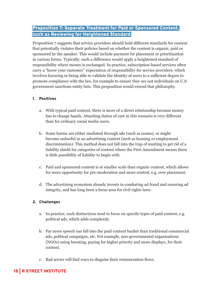#### Proposition 7: Separate Treatment for Paid or Sponsored Content, such as Reviewing for Heightened Standard

Proposition 7 suggests that service providers should hold different standards for content that potentially violates their policies based on whether the content is organic, paid or sponsored by the speaker. This would include payment for placement or prioritization in various forms. Typically, such a difference would apply a heightened standard of responsibility where money is exchanged. In practice, subscription-based services often carry a "know your customer" expectation of responsibility for service providers, which involves knowing or being able to validate the identity of users to a sufficient degree to promote compliance with the law, for example to ensure they are not individuals on U.S. government sanctions entity lists. This proposition would extend that philosophy.

#### 1. Positives

- a. With typical paid content, there is more of a direct relationship because money has to change hands. Attaching duties of care in this scenario is very different than for ordinary social media users.
- b. Some harms are either mediated through ads (such as scams), or might become unlawful in an advertising context (such as housing or employment discrimination). This method does not fall into the trap of wanting to get rid of a liability shield for categories of content where the First Amendment means there is little possibility of liability to begin with.
- c. Paid and sponsored content is at smaller scale than organic content, which allows for more opportunity for pre-moderation and more control, e.g. over placement.
- d. The advertising ecosystem already invests in combating ad fraud and ensuring ad integrity, and has long been a focus area for civil rights laws.

#### 2. Challenges

- a. In practice, such distinctions tend to focus on specific types of paid content, e.g. political ads, which adds complexity.
- b. Far more speech can fall into the paid content bucket than traditional commercial ads, political campaigns, etc. For example, non-governmental organizations (NGOs) using boosting, paying for higher priority and more displays, for their content.
- c. Bad actors will find ways to disguise their remuneration flows.

#### 18 | R STREET INSTITUTE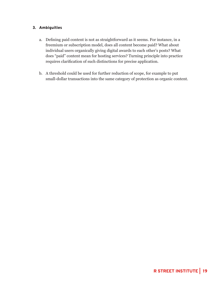#### 3. Ambiguities

- a. Defining paid content is not as straightforward as it seems. For instance, in a freemium or subscription model, does all content become paid? What about individual users organically giving digital awards to each other's posts? What does "paid" content mean for hosting services? Turning principle into practice requires clarification of such distinctions for precise application.
- b. A threshold could be used for further reduction of scope, for example to put small-dollar transactions into the same category of protection as organic content.